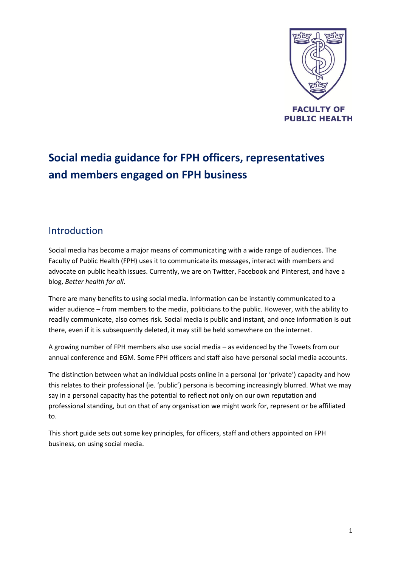

# **Social media guidance for FPH officers, representatives and members engaged on FPH business**

#### Introduction

Social media has become a major means of communicating with a wide range of audiences. The Faculty of Public Health (FPH) uses it to communicate its messages, interact with members and advocate on public health issues. Currently, we are on Twitter, Facebook and Pinterest, and have a blog, *Better health for all*.

There are many benefits to using social media. Information can be instantly communicated to a wider audience – from members to the media, politicians to the public. However, with the ability to readily communicate, also comes risk. Social media is public and instant, and once information is out there, even if it is subsequently deleted, it may still be held somewhere on the internet.

A growing number of FPH members also use social media – as evidenced by the Tweets from our annual conference and EGM. Some FPH officers and staff also have personal social media accounts.

The distinction between what an individual posts online in a personal (or 'private') capacity and how this relates to their professional (ie. 'public') persona is becoming increasingly blurred. What we may say in a personal capacity has the potential to reflect not only on our own reputation and professional standing, but on that of any organisation we might work for, represent or be affiliated to.

This short guide sets out some key principles, for officers, staff and others appointed on FPH business, on using social media.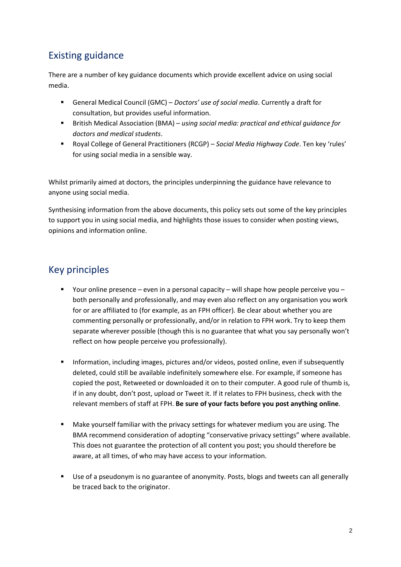## Existing guidance

There are a number of key guidance documents which provide excellent advice on using social media.

- General Medical Council (GMC) *Doctors' use of social media*. Currently a draft for consultation, but provides useful information.
- British Medical Association (BMA) *using social media: practical and ethical guidance for doctors and medical students*.
- Royal College of General Practitioners (RCGP) *Social Media Highway Code*. Ten key 'rules' for using social media in a sensible way.

Whilst primarily aimed at doctors, the principles underpinning the guidance have relevance to anyone using social media.

Synthesising information from the above documents, this policy sets out some of the key principles to support you in using social media, and highlights those issues to consider when posting views, opinions and information online.

# Key principles

- Your online presence even in a personal capacity will shape how people perceive you both personally and professionally, and may even also reflect on any organisation you work for or are affiliated to (for example, as an FPH officer). Be clear about whether you are commenting personally or professionally, and/or in relation to FPH work. Try to keep them separate wherever possible (though this is no guarantee that what you say personally won't reflect on how people perceive you professionally).
- **Information, including images, pictures and/or videos, posted online, even if subsequently** deleted, could still be available indefinitely somewhere else. For example, if someone has copied the post, Retweeted or downloaded it on to their computer. A good rule of thumb is, if in any doubt, don't post, upload or Tweet it. If it relates to FPH business, check with the relevant members of staff at FPH. **Be sure of your facts before you post anything online**.
- Make yourself familiar with the privacy settings for whatever medium you are using. The BMA recommend consideration of adopting "conservative privacy settings" where available. This does not guarantee the protection of all content you post; you should therefore be aware, at all times, of who may have access to your information.
- **Use of a pseudonym is no guarantee of anonymity. Posts, blogs and tweets can all generally** be traced back to the originator.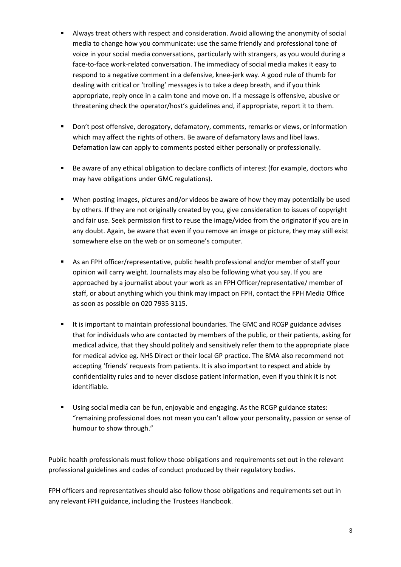- Always treat others with respect and consideration. Avoid allowing the anonymity of social media to change how you communicate: use the same friendly and professional tone of voice in your social media conversations, particularly with strangers, as you would during a face-to-face work-related conversation. The immediacy of social media makes it easy to respond to a negative comment in a defensive, knee-jerk way. A good rule of thumb for dealing with critical or 'trolling' messages is to take a deep breath, and if you think appropriate, reply once in a calm tone and move on. If a message is offensive, abusive or threatening check the operator/host's guidelines and, if appropriate, report it to them.
- Don't post offensive, derogatory, defamatory, comments, remarks or views, or information which may affect the rights of others. Be aware of defamatory laws and libel laws. Defamation law can apply to comments posted either personally or professionally.
- Be aware of any ethical obligation to declare conflicts of interest (for example, doctors who may have obligations under GMC regulations).
- When posting images, pictures and/or videos be aware of how they may potentially be used by others. If they are not originally created by you, give consideration to issues of copyright and fair use. Seek permission first to reuse the image/video from the originator if you are in any doubt. Again, be aware that even if you remove an image or picture, they may still exist somewhere else on the web or on someone's computer.
- As an FPH officer/representative, public health professional and/or member of staff your opinion will carry weight. Journalists may also be following what you say. If you are approached by a journalist about your work as an FPH Officer/representative/ member of staff, or about anything which you think may impact on FPH, contact the FPH Media Office as soon as possible on 020 7935 3115.
- It is important to maintain professional boundaries. The GMC and RCGP guidance advises that for individuals who are contacted by members of the public, or their patients, asking for medical advice, that they should politely and sensitively refer them to the appropriate place for medical advice eg. NHS Direct or their local GP practice. The BMA also recommend not accepting 'friends' requests from patients. It is also important to respect and abide by confidentiality rules and to never disclose patient information, even if you think it is not identifiable.
- Using social media can be fun, enjoyable and engaging. As the RCGP guidance states: "remaining professional does not mean you can't allow your personality, passion or sense of humour to show through."

Public health professionals must follow those obligations and requirements set out in the relevant professional guidelines and codes of conduct produced by their regulatory bodies.

FPH officers and representatives should also follow those obligations and requirements set out in any relevant FPH guidance, including the Trustees Handbook.